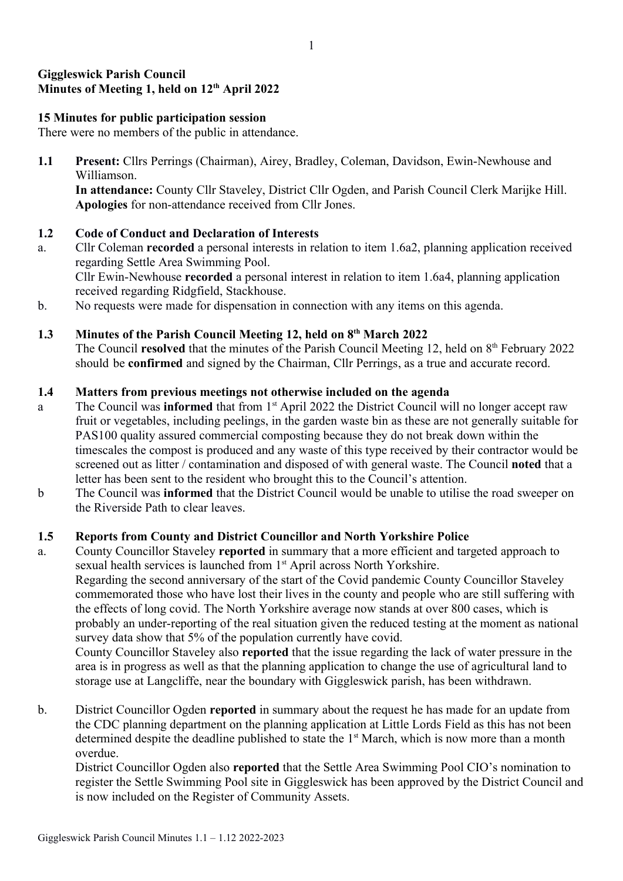# Giggleswick Parish Council Minutes of Meeting 1, held on 12<sup>th</sup> April 2022

## 15 Minutes for public participation session

There were no members of the public in attendance.

1.1 Present: Cllrs Perrings (Chairman), Airey, Bradley, Coleman, Davidson, Ewin-Newhouse and Williamson. In attendance: County Cllr Staveley, District Cllr Ogden, and Parish Council Clerk Marijke Hill. Apologies for non-attendance received from Cllr Jones.

## 1.2 Code of Conduct and Declaration of Interests

- a. Cllr Coleman recorded a personal interests in relation to item 1.6a2, planning application received regarding Settle Area Swimming Pool. Cllr Ewin-Newhouse recorded a personal interest in relation to item 1.6a4, planning application received regarding Ridgfield, Stackhouse.
- b. No requests were made for dispensation in connection with any items on this agenda.

### 1.3 Minutes of the Parish Council Meeting 12, held on 8<sup>th</sup> March 2022

The Council resolved that the minutes of the Parish Council Meeting 12, held on  $8<sup>th</sup>$  February 2022 should be confirmed and signed by the Chairman, Cllr Perrings, as a true and accurate record.

#### 1.4 Matters from previous meetings not otherwise included on the agenda

- a The Council was **informed** that from 1<sup>st</sup> April 2022 the District Council will no longer accept raw fruit or vegetables, including peelings, in the garden waste bin as these are not generally suitable for PAS100 quality assured commercial composting because they do not break down within the timescales the compost is produced and any waste of this type received by their contractor would be screened out as litter / contamination and disposed of with general waste. The Council noted that a letter has been sent to the resident who brought this to the Council's attention.
- b The Council was informed that the District Council would be unable to utilise the road sweeper on the Riverside Path to clear leaves.

#### 1.5 Reports from County and District Councillor and North Yorkshire Police

a. County Councillor Staveley reported in summary that a more efficient and targeted approach to sexual health services is launched from 1<sup>st</sup> April across North Yorkshire. Regarding the second anniversary of the start of the Covid pandemic County Councillor Staveley commemorated those who have lost their lives in the county and people who are still suffering with the effects of long covid. The North Yorkshire average now stands at over 800 cases, which is probably an under-reporting of the real situation given the reduced testing at the moment as national survey data show that 5% of the population currently have covid. County Councillor Staveley also reported that the issue regarding the lack of water pressure in the area is in progress as well as that the planning application to change the use of agricultural land to storage use at Langcliffe, near the boundary with Giggleswick parish, has been withdrawn.

b. District Councillor Ogden reported in summary about the request he has made for an update from the CDC planning department on the planning application at Little Lords Field as this has not been determined despite the deadline published to state the  $1<sup>st</sup>$  March, which is now more than a month overdue.

District Councillor Ogden also reported that the Settle Area Swimming Pool CIO's nomination to register the Settle Swimming Pool site in Giggleswick has been approved by the District Council and is now included on the Register of Community Assets.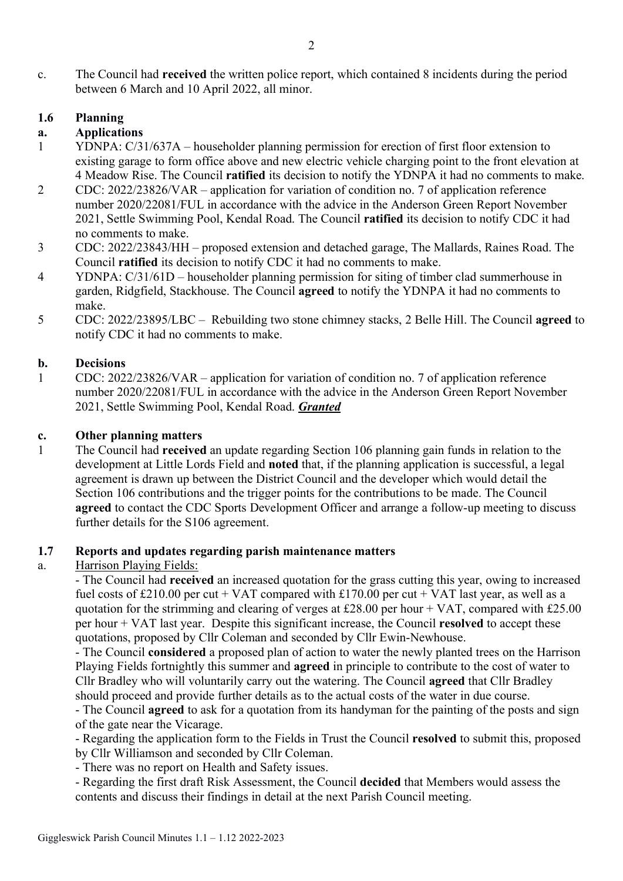c. The Council had received the written police report, which contained 8 incidents during the period between 6 March and 10 April 2022, all minor.

# 1.6 Planning

## a. Applications

- 1 YDNPA: C/31/637A householder planning permission for erection of first floor extension to existing garage to form office above and new electric vehicle charging point to the front elevation at 4 Meadow Rise. The Council ratified its decision to notify the YDNPA it had no comments to make.
- 2 CDC: 2022/23826/VAR application for variation of condition no. 7 of application reference number 2020/22081/FUL in accordance with the advice in the Anderson Green Report November 2021, Settle Swimming Pool, Kendal Road. The Council ratified its decision to notify CDC it had no comments to make.
- 3 CDC: 2022/23843/HH proposed extension and detached garage, The Mallards, Raines Road. The Council ratified its decision to notify CDC it had no comments to make.
- 4 YDNPA: C/31/61D householder planning permission for siting of timber clad summerhouse in garden, Ridgfield, Stackhouse. The Council agreed to notify the YDNPA it had no comments to make.
- 5 CDC: 2022/23895/LBC Rebuilding two stone chimney stacks, 2 Belle Hill. The Council agreed to notify CDC it had no comments to make.

#### b. Decisions

1 CDC: 2022/23826/VAR – application for variation of condition no. 7 of application reference number 2020/22081/FUL in accordance with the advice in the Anderson Green Report November 2021, Settle Swimming Pool, Kendal Road. Granted

#### c. Other planning matters

1 The Council had received an update regarding Section 106 planning gain funds in relation to the development at Little Lords Field and noted that, if the planning application is successful, a legal agreement is drawn up between the District Council and the developer which would detail the Section 106 contributions and the trigger points for the contributions to be made. The Council agreed to contact the CDC Sports Development Officer and arrange a follow-up meeting to discuss further details for the S106 agreement.

#### 1.7 Reports and updates regarding parish maintenance matters

## a. Harrison Playing Fields:

- The Council had received an increased quotation for the grass cutting this year, owing to increased fuel costs of £210.00 per cut + VAT compared with £170.00 per cut + VAT last year, as well as a quotation for the strimming and clearing of verges at £28.00 per hour + VAT, compared with £25.00 per hour + VAT last year. Despite this significant increase, the Council resolved to accept these quotations, proposed by Cllr Coleman and seconded by Cllr Ewin-Newhouse.

- The Council considered a proposed plan of action to water the newly planted trees on the Harrison Playing Fields fortnightly this summer and agreed in principle to contribute to the cost of water to Cllr Bradley who will voluntarily carry out the watering. The Council agreed that Cllr Bradley should proceed and provide further details as to the actual costs of the water in due course.

- The Council **agreed** to ask for a quotation from its handyman for the painting of the posts and sign of the gate near the Vicarage.

- Regarding the application form to the Fields in Trust the Council resolved to submit this, proposed by Cllr Williamson and seconded by Cllr Coleman.

- There was no report on Health and Safety issues.

- Regarding the first draft Risk Assessment, the Council decided that Members would assess the contents and discuss their findings in detail at the next Parish Council meeting.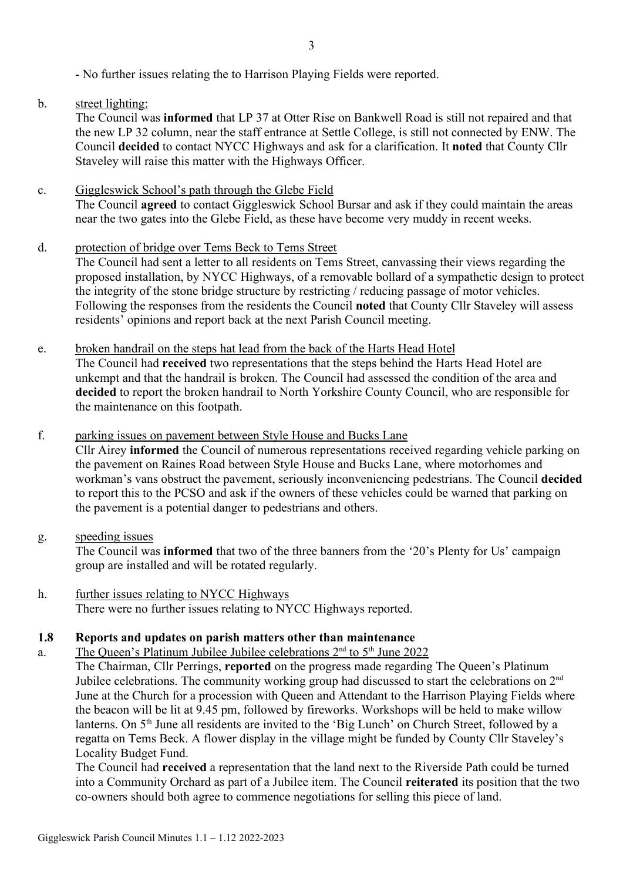- No further issues relating the to Harrison Playing Fields were reported.

# b. street lighting:

The Council was informed that LP 37 at Otter Rise on Bankwell Road is still not repaired and that the new LP 32 column, near the staff entrance at Settle College, is still not connected by ENW. The Council decided to contact NYCC Highways and ask for a clarification. It noted that County Cllr Staveley will raise this matter with the Highways Officer.

## c. Giggleswick School's path through the Glebe Field The Council agreed to contact Giggleswick School Bursar and ask if they could maintain the areas near the two gates into the Glebe Field, as these have become very muddy in recent weeks.

- d. protection of bridge over Tems Beck to Tems Street The Council had sent a letter to all residents on Tems Street, canvassing their views regarding the proposed installation, by NYCC Highways, of a removable bollard of a sympathetic design to protect the integrity of the stone bridge structure by restricting / reducing passage of motor vehicles. Following the responses from the residents the Council noted that County Cllr Staveley will assess residents' opinions and report back at the next Parish Council meeting.
- e. broken handrail on the steps hat lead from the back of the Harts Head Hotel The Council had received two representations that the steps behind the Harts Head Hotel are unkempt and that the handrail is broken. The Council had assessed the condition of the area and decided to report the broken handrail to North Yorkshire County Council, who are responsible for the maintenance on this footpath.

# f. parking issues on pavement between Style House and Bucks Lane

Cllr Airey informed the Council of numerous representations received regarding vehicle parking on the pavement on Raines Road between Style House and Bucks Lane, where motorhomes and workman's vans obstruct the pavement, seriously inconveniencing pedestrians. The Council decided to report this to the PCSO and ask if the owners of these vehicles could be warned that parking on the pavement is a potential danger to pedestrians and others.

## g. speeding issues

The Council was informed that two of the three banners from the '20's Plenty for Us' campaign group are installed and will be rotated regularly.

h. further issues relating to NYCC Highways There were no further issues relating to NYCC Highways reported.

## 1.8 Reports and updates on parish matters other than maintenance

# a. The Queen's Platinum Jubilee Jubilee celebrations  $2<sup>nd</sup>$  to  $5<sup>th</sup>$  June 2022

The Chairman, Cllr Perrings, reported on the progress made regarding The Queen's Platinum Jubilee celebrations. The community working group had discussed to start the celebrations on 2<sup>nd</sup> June at the Church for a procession with Queen and Attendant to the Harrison Playing Fields where the beacon will be lit at 9.45 pm, followed by fireworks. Workshops will be held to make willow lanterns. On 5<sup>th</sup> June all residents are invited to the 'Big Lunch' on Church Street, followed by a regatta on Tems Beck. A flower display in the village might be funded by County Cllr Staveley's Locality Budget Fund.

The Council had received a representation that the land next to the Riverside Path could be turned into a Community Orchard as part of a Jubilee item. The Council reiterated its position that the two co-owners should both agree to commence negotiations for selling this piece of land.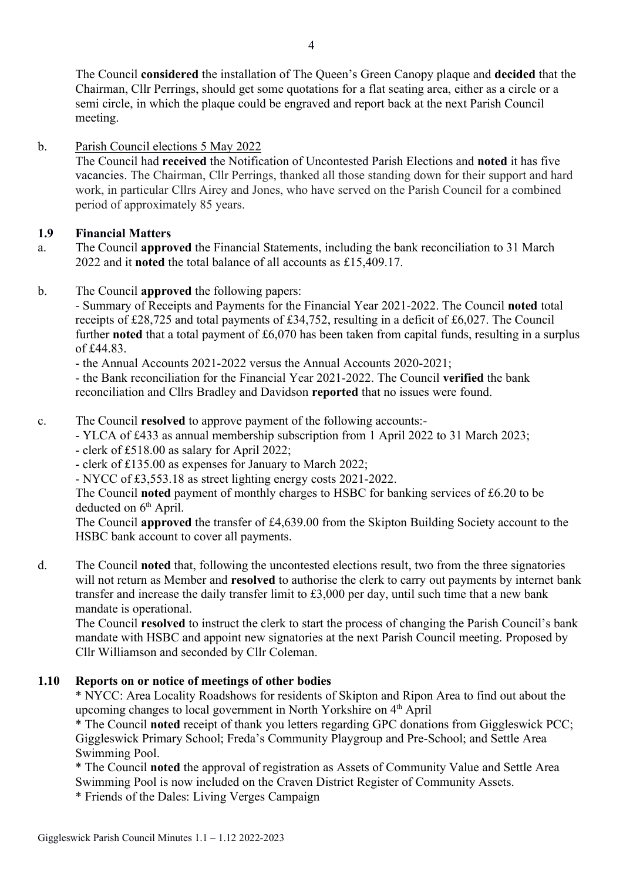The Council considered the installation of The Queen's Green Canopy plaque and decided that the Chairman, Cllr Perrings, should get some quotations for a flat seating area, either as a circle or a semi circle, in which the plaque could be engraved and report back at the next Parish Council meeting.

# b. Parish Council elections 5 May 2022

The Council had received the Notification of Uncontested Parish Elections and noted it has five vacancies. The Chairman, Cllr Perrings, thanked all those standing down for their support and hard work, in particular Cllrs Airey and Jones, who have served on the Parish Council for a combined period of approximately 85 years.

# 1.9 Financial Matters

- a. The Council approved the Financial Statements, including the bank reconciliation to 31 March 2022 and it noted the total balance of all accounts as £15,409.17.
- b. The Council approved the following papers:

- Summary of Receipts and Payments for the Financial Year 2021-2022. The Council noted total receipts of £28,725 and total payments of £34,752, resulting in a deficit of £6,027. The Council further noted that a total payment of £6,070 has been taken from capital funds, resulting in a surplus of £44.83.

- the Annual Accounts 2021-2022 versus the Annual Accounts 2020-2021;

- the Bank reconciliation for the Financial Year 2021-2022. The Council verified the bank reconciliation and Cllrs Bradley and Davidson reported that no issues were found.

c. The Council resolved to approve payment of the following accounts:-

- YLCA of £433 as annual membership subscription from 1 April 2022 to 31 March 2023;

- clerk of £518.00 as salary for April 2022;
- clerk of £135.00 as expenses for January to March 2022;
- NYCC of £3,553.18 as street lighting energy costs 2021-2022.

The Council noted payment of monthly charges to HSBC for banking services of £6.20 to be deducted on  $6<sup>th</sup>$  April.

The Council approved the transfer of £4,639.00 from the Skipton Building Society account to the HSBC bank account to cover all payments.

d. The Council noted that, following the uncontested elections result, two from the three signatories will not return as Member and **resolved** to authorise the clerk to carry out payments by internet bank transfer and increase the daily transfer limit to £3,000 per day, until such time that a new bank mandate is operational.

The Council resolved to instruct the clerk to start the process of changing the Parish Council's bank mandate with HSBC and appoint new signatories at the next Parish Council meeting. Proposed by Cllr Williamson and seconded by Cllr Coleman.

# 1.10 Reports on or notice of meetings of other bodies

\* NYCC: Area Locality Roadshows for residents of Skipton and Ripon Area to find out about the upcoming changes to local government in North Yorkshire on 4th April

\* The Council noted receipt of thank you letters regarding GPC donations from Giggleswick PCC; Giggleswick Primary School; Freda's Community Playgroup and Pre-School; and Settle Area Swimming Pool.

\* The Council noted the approval of registration as Assets of Community Value and Settle Area Swimming Pool is now included on the Craven District Register of Community Assets.

\* Friends of the Dales: Living Verges Campaign